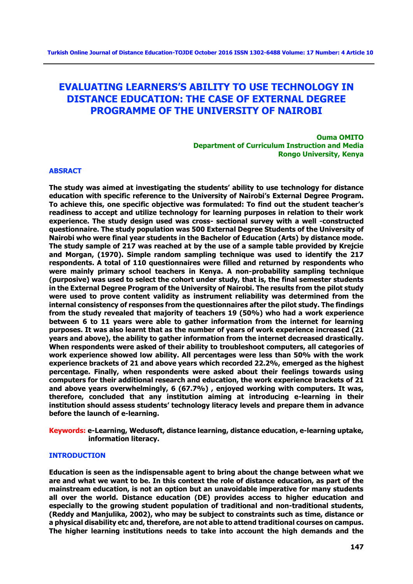# **EVALUATING LEARNERS'S ABILITY TO USE TECHNOLOGY IN DISTANCE EDUCATION: THE CASE OF EXTERNAL DEGREE PROGRAMME OF THE UNIVERSITY OF NAIROBI**

**Ouma OMITO Department of Curriculum Instruction and Media Rongo University, Kenya** 

## **ABSRACT**

**The study was aimed at investigating the students' ability to use technology for distance education with specific reference to the University of Nairobi's External Degree Program. To achieve this, one specific objective was formulated: To find out the student teacher's readiness to accept and utilize technology for learning purposes in relation to their work experience. The study design used was cross- sectional survey with a well -constructed questionnaire. The study population was 500 External Degree Students of the University of Nairobi who were final year students in the Bachelor of Education (Arts) by distance mode. The study sample of 217 was reached at by the use of a sample table provided by Krejcie and Morgan, (1970). Simple random sampling technique was used to identify the 217 respondents. A total of 110 questionnaires were filled and returned by respondents who were mainly primary school teachers in Kenya. A non-probability sampling technique (purposive) was used to select the cohort under study, that is, the final semester students in the External Degree Program of the University of Nairobi. The results from the pilot study were used to prove content validity as instrument reliability was determined from the internal consistency of responses from the questionnaires after the pilot study. The findings from the study revealed that majority of teachers 19 (50%) who had a work experience between 6 to 11 years were able to gather information from the internet for learning purposes. It was also learnt that as the number of years of work experience increased (21 years and above), the ability to gather information from the internet decreased drastically. When respondents were asked of their ability to troubleshoot computers, all categories of work experience showed low ability. All percentages were less than 50% with the work experience brackets of 21 and above years which recorded 22.2%, emerged as the highest percentage. Finally, when respondents were asked about their feelings towards using computers for their additional research and education, the work experience brackets of 21 and above years overwhelmingly, 6 (67.7%) , enjoyed working with computers. It was, therefore, concluded that any institution aiming at introducing e-learning in their institution should assess students' technology literacy levels and prepare them in advance before the launch of e-learning.** 

**Keywords: e-Learning, Wedusoft, distance learning, distance education, e-learning uptake, information literacy.** 

#### **INTRODUCTION**

**Education is seen as the indispensable agent to bring about the change between what we are and what we want to be. In this context the role of distance education, as part of the mainstream education, is not an option but an unavoidable imperative for many students all over the world. Distance education (DE) provides access to higher education and especially to the growing student population of traditional and non-traditional students, (Reddy and Manjulika, 2002), who may be subject to constraints such as time, distance or a physical disability etc and, therefore, are not able to attend traditional courses on campus. The higher learning institutions needs to take into account the high demands and the**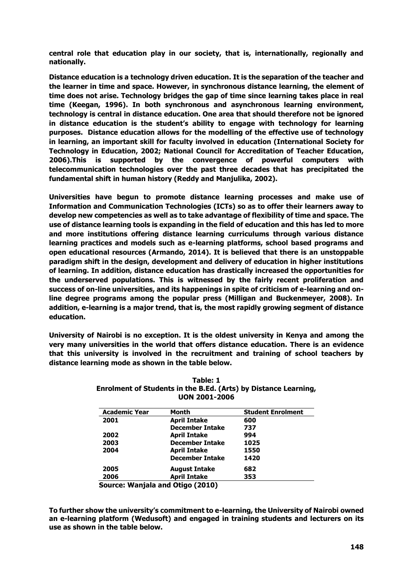**central role that education play in our society, that is, internationally, regionally and nationally.**

**Distance education is a technology driven education. It is the separation of the teacher and the learner in time and space. However, in synchronous distance learning, the element of time does not arise. Technology bridges the gap of time since learning takes place in real time (Keegan, 1996). In both synchronous and asynchronous learning environment, technology is central in distance education. One area that should therefore not be ignored in distance education is the student's ability to engage with technology for learning purposes. Distance education allows for the modelling of the effective use of technology in learning, an important skill for faculty involved in education (International Society for Technology in Education, 2002; National Council for Accreditation of Teacher Education, 2006).This is supported by the convergence of powerful computers with telecommunication technologies over the past three decades that has precipitated the fundamental shift in human history (Reddy and Manjulika, 2002).**

**Universities have begun to promote distance learning processes and make use of Information and Communication Technologies (ICTs) so as to offer their learners away to develop new competencies as well as to take advantage of flexibility of time and space. The use of distance learning tools is expanding in the field of education and this has led to more and more institutions offering distance learning curriculums through various distance learning practices and models such as e-learning platforms, school based programs and open educational resources (Armando, 2014). It is believed that there is an unstoppable paradigm shift in the design, development and delivery of education in higher institutions of learning. In addition, distance education has drastically increased the opportunities for the underserved populations. This is witnessed by the fairly recent proliferation and success of on-line universities, and its happenings in spite of criticism of e-learning and online degree programs among the popular press (Milligan and Buckenmeyer, 2008). In addition, e-learning is a major trend, that is, the most rapidly growing segment of distance education.**

**University of Nairobi is no exception. It is the oldest university in Kenya and among the very many universities in the world that offers distance education. There is an evidence that this university is involved in the recruitment and training of school teachers by distance learning mode as shown in the table below.**

| <b>Academic Year</b> | Month                            | <b>Student Enrolment</b> |  |
|----------------------|----------------------------------|--------------------------|--|
| 2001                 | <b>April Intake</b>              | 600                      |  |
|                      | <b>December Intake</b>           | 737                      |  |
| 2002                 | <b>April Intake</b>              | 994                      |  |
| 2003                 | <b>December Intake</b>           | 1025                     |  |
| 2004                 | <b>April Intake</b>              | 1550                     |  |
|                      | <b>December Intake</b>           | 1420                     |  |
| 2005                 | <b>August Intake</b>             | 682                      |  |
| 2006                 | <b>April Intake</b>              | 353                      |  |
|                      | Source: Wanjala and Otigo (2010) |                          |  |

| Table: 1                                                        |
|-----------------------------------------------------------------|
| Enrolment of Students in the B.Ed. (Arts) by Distance Learning, |
| <b>UON 2001-2006</b>                                            |

**To further show the university's commitment to e-learning, the University of Nairobi owned an e-learning platform (Wedusoft) and engaged in training students and lecturers on its use as shown in the table below.**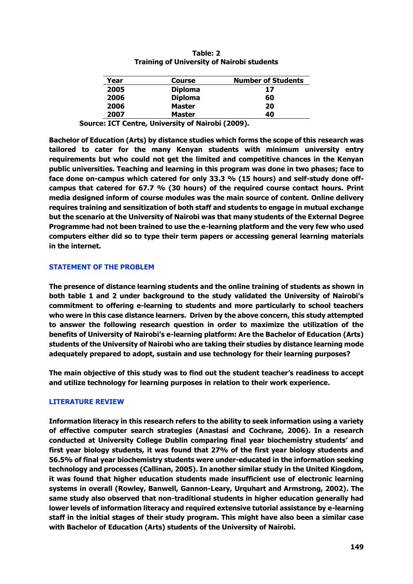| Table: 2                                          |  |  |  |  |
|---------------------------------------------------|--|--|--|--|
| <b>Training of University of Nairobi students</b> |  |  |  |  |

| Year | <b>Course</b>  | <b>Number of Students</b> |
|------|----------------|---------------------------|
| 2005 | <b>Diploma</b> | 17                        |
| 2006 | <b>Diploma</b> | 60                        |
| 2006 | <b>Master</b>  | 20                        |
| 2007 | <b>Master</b>  | 40                        |

 **Source: ICT Centre, University of Nairobi (2009).**

**Bachelor of Education (Arts) by distance studies which forms the scope of this research was tailored to cater for the many Kenyan students with minimum university entry requirements but who could not get the limited and competitive chances in the Kenyan public universities. Teaching and learning in this program was done in two phases; face to face done on-campus which catered for only 33.3 % (15 hours) and self-study done offcampus that catered for 67.7 % (30 hours) of the required course contact hours. Print media designed inform of course modules was the main source of content. Online delivery requires training and sensitization of both staff and students to engage in mutual exchange but the scenario at the University of Nairobi was that many students of the External Degree Programme had not been trained to use the e-learning platform and the very few who used computers either did so to type their term papers or accessing general learning materials in the internet.**

## **STATEMENT OF THE PROBLEM**

**The presence of distance learning students and the online training of students as shown in both table 1 and 2 under background to the study validated the University of Nairobi's commitment to offering e-learning to students and more particularly to school teachers who were in this case distance learners. Driven by the above concern, this study attempted to answer the following research question in order to maximize the utilization of the benefits of University of Nairobi's e-learning platform: Are the Bachelor of Education (Arts) students of the University of Nairobi who are taking their studies by distance learning mode adequately prepared to adopt, sustain and use technology for their learning purposes?**

**The main objective of this study was to find out the student teacher's readiness to accept and utilize technology for learning purposes in relation to their work experience.**

# **LITERATURE REVIEW**

**Information literacy in this research refers to the ability to seek information using a variety of effective computer search strategies (Anastasi and Cochrane, 2006). In a research conducted at University College Dublin comparing final year biochemistry students' and first year biology students, it was found that 27% of the first year biology students and 56.5% of final year biochemistry students were under-educated in the information seeking technology and processes (Callinan, 2005). In another similar study in the United Kingdom, it was found that higher education students made insufficient use of electronic learning systems in overall (Rowley, Banwell, Gannon-Leary, Urquhart and Armstrong, 2002). The same study also observed that non-traditional students in higher education generally had lower levels of information literacy and required extensive tutorial assistance by e-learning staff in the initial stages of their study program. This might have also been a similar case with Bachelor of Education (Arts) students of the University of Nairobi.**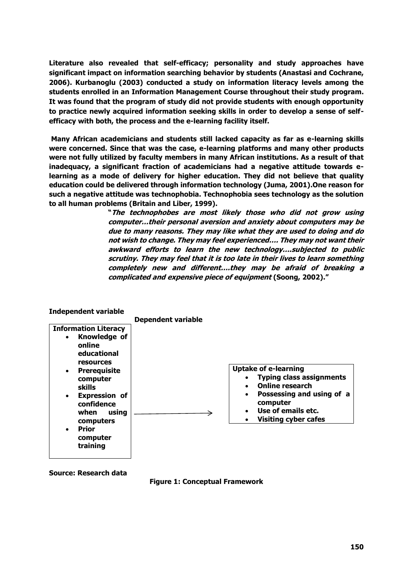**Literature also revealed that self-efficacy; personality and study approaches have significant impact on information searching behavior by students (Anastasi and Cochrane, 2006). Kurbanoglu (2003) conducted a study on information literacy levels among the students enrolled in an Information Management Course throughout their study program. It was found that the program of study did not provide students with enough opportunity to practice newly acquired information seeking skills in order to develop a sense of selfefficacy with both, the process and the e-learning facility itself.**

**Many African academicians and students still lacked capacity as far as e-learning skills were concerned. Since that was the case, e-learning platforms and many other products were not fully utilized by faculty members in many African institutions. As a result of that inadequacy, a significant fraction of academicians had a negative attitude towards elearning as a mode of delivery for higher education. They did not believe that quality education could be delivered through information technology (Juma, 2001).One reason for such a negative attitude was technophobia. Technophobia sees technology as the solution to all human problems (Britain and Liber, 1999).** 

> **"The technophobes are most likely those who did not grow using computer…their personal aversion and anxiety about computers may be due to many reasons. They may like what they are used to doing and do not wish to change. They may feel experienced…. They may not want their awkward efforts to learn the new technology….subjected to public scrutiny. They may feel that it is too late in their lives to learn something completely new and different….they may be afraid of breaking a complicated and expensive piece of equipment (Soong, 2002)."**



# **Independent variable**

**Source: Research data**

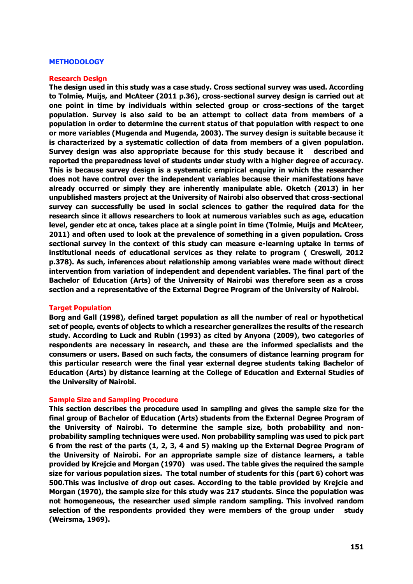#### **METHODOLOGY**

#### **Research Design**

**The design used in this study was a case study. Cross sectional survey was used. According to Tolmie, Muijs, and McAteer (2011 p.36), cross-sectional survey design is carried out at one point in time by individuals within selected group or cross-sections of the target population. Survey is also said to be an attempt to collect data from members of a population in order to determine the current status of that population with respect to one or more variables (Mugenda and Mugenda, 2003). The survey design is suitable because it is characterized by a systematic collection of data from members of a given population. Survey design was also appropriate because for this study because it described and reported the preparedness level of students under study with a higher degree of accuracy. This is because survey design is a systematic empirical enquiry in which the researcher does not have control over the independent variables because their manifestations have already occurred or simply they are inherently manipulate able. Oketch (2013) in her unpublished masters project at the University of Nairobi also observed that cross-sectional survey can successfully be used in social sciences to gather the required data for the research since it allows researchers to look at numerous variables such as age, education level, gender etc at once, takes place at a single point in time (Tolmie, Muijs and McAteer, 2011) and often used to look at the prevalence of something in a given population. Cross sectional survey in the context of this study can measure e-learning uptake in terms of institutional needs of educational services as they relate to program ( Creswell, 2012 p.378). As such, inferences about relationship among variables were made without direct intervention from variation of independent and dependent variables. The final part of the Bachelor of Education (Arts) of the University of Nairobi was therefore seen as a cross section and a representative of the External Degree Program of the University of Nairobi.**

#### **Target Population**

**Borg and Gall (1998), defined target population as all the number of real or hypothetical set of people, events of objects to which a researcher generalizes the results of the research study. According to Luck and Rubin (1993) as cited by Anyona (2009), two categories of respondents are necessary in research, and these are the informed specialists and the consumers or users. Based on such facts, the consumers of distance learning program for this particular research were the final year external degree students taking Bachelor of Education (Arts) by distance learning at the College of Education and External Studies of the University of Nairobi.** 

#### **Sample Size and Sampling Procedure**

**This section describes the procedure used in sampling and gives the sample size for the final group of Bachelor of Education (Arts) students from the External Degree Program of the University of Nairobi. To determine the sample size, both probability and nonprobability sampling techniques were used. Non probability sampling was used to pick part 6 from the rest of the parts (1, 2, 3, 4 and 5) making up the External Degree Program of the University of Nairobi. For an appropriate sample size of distance learners, a table provided by Krejcie and Morgan (1970) was used. The table gives the required the sample size for various population sizes. The total number of students for this (part 6) cohort was 500.This was inclusive of drop out cases. According to the table provided by Krejcie and Morgan (1970), the sample size for this study was 217 students. Since the population was not homogeneous, the researcher used simple random sampling. This involved random selection of the respondents provided they were members of the group under study (Weirsma, 1969).**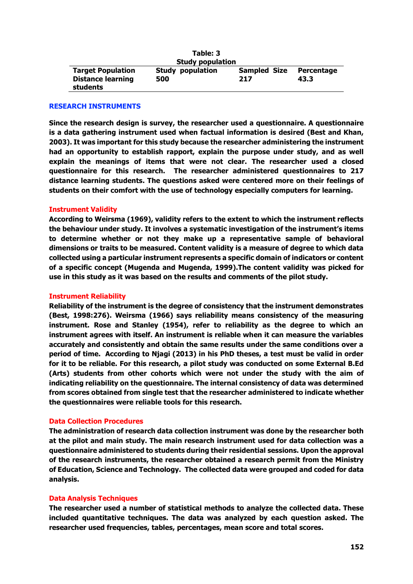| Table: 3                                             |                         |                            |                    |  |
|------------------------------------------------------|-------------------------|----------------------------|--------------------|--|
|                                                      | <b>Study population</b> |                            |                    |  |
| <b>Target Population</b><br><b>Distance learning</b> | Study population<br>500 | <b>Sampled Size</b><br>217 | Percentage<br>43.3 |  |
| students                                             |                         |                            |                    |  |

## **RESEARCH INSTRUMENTS**

**Since the research design is survey, the researcher used a questionnaire. A questionnaire is a data gathering instrument used when factual information is desired (Best and Khan, 2003). It was important for this study because the researcher administering the instrument had an opportunity to establish rapport, explain the purpose under study, and as well explain the meanings of items that were not clear. The researcher used a closed questionnaire for this research. The researcher administered questionnaires to 217 distance learning students. The questions asked were centered more on their feelings of students on their comfort with the use of technology especially computers for learning.** 

#### **Instrument Validity**

**According to Weirsma (1969), validity refers to the extent to which the instrument reflects the behaviour under study. It involves a systematic investigation of the instrument's items to determine whether or not they make up a representative sample of behavioral dimensions or traits to be measured. Content validity is a measure of degree to which data collected using a particular instrument represents a specific domain of indicators or content of a specific concept (Mugenda and Mugenda, 1999).The content validity was picked for use in this study as it was based on the results and comments of the pilot study.** 

#### **Instrument Reliability**

**Reliability of the instrument is the degree of consistency that the instrument demonstrates (Best, 1998:276). Weirsma (1966) says reliability means consistency of the measuring instrument. Rose and Stanley (1954), refer to reliability as the degree to which an instrument agrees with itself. An instrument is reliable when it can measure the variables accurately and consistently and obtain the same results under the same conditions over a period of time. According to Njagi (2013) in his PhD theses, a test must be valid in order for it to be reliable. For this research, a pilot study was conducted on some External B.Ed (Arts) students from other cohorts which were not under the study with the aim of indicating reliability on the questionnaire. The internal consistency of data was determined from scores obtained from single test that the researcher administered to indicate whether the questionnaires were reliable tools for this research.**

# **Data Collection Procedures**

**The administration of research data collection instrument was done by the researcher both at the pilot and main study. The main research instrument used for data collection was a questionnaire administered to students during their residential sessions. Upon the approval of the research instruments, the researcher obtained a research permit from the Ministry of Education, Science and Technology. The collected data were grouped and coded for data analysis.** 

#### **Data Analysis Techniques**

**The researcher used a number of statistical methods to analyze the collected data. These included quantitative techniques. The data was analyzed by each question asked. The researcher used frequencies, tables, percentages, mean score and total scores.**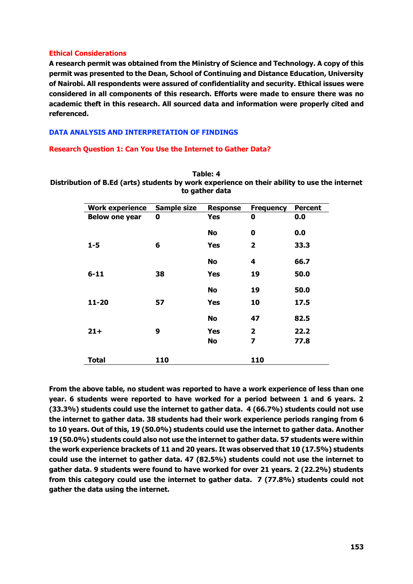# **Ethical Considerations**

**A research permit was obtained from the Ministry of Science and Technology. A copy of this permit was presented to the Dean, School of Continuing and Distance Education, University of Nairobi. All respondents were assured of confidentiality and security. Ethical issues were considered in all components of this research. Efforts were made to ensure there was no academic theft in this research. All sourced data and information were properly cited and referenced.**

# **DATA ANALYSIS AND INTERPRETATION OF FINDINGS**

## **Research Question 1: Can You Use the Internet to Gather Data?**

**Table: 4 Distribution of B.Ed (arts) students by work experience on their ability to use the internet to gather data**

| <b>Work experience</b> | <b>Sample size</b> | <b>Response</b> | <b>Frequency</b>        | <b>Percent</b> |
|------------------------|--------------------|-----------------|-------------------------|----------------|
| <b>Below one year</b>  | 0                  | Yes             | 0                       | 0.0            |
|                        |                    | No              | 0                       | 0.0            |
| $1 - 5$                | 6                  | Yes             | $\overline{\mathbf{2}}$ | 33.3           |
|                        |                    | <b>No</b>       | 4                       | 66.7           |
| $6 - 11$               | 38                 | <b>Yes</b>      | 19                      | 50.0           |
|                        |                    | <b>No</b>       | 19                      | 50.0           |
| $11 - 20$              | 57                 | <b>Yes</b>      | 10                      | 17.5           |
|                        |                    | <b>No</b>       | 47                      | 82.5           |
| $21 +$                 | 9                  | <b>Yes</b>      | $\overline{2}$          | 22.2           |
|                        |                    | No              | 7                       | 77.8           |
| Total                  | 110                |                 | 110                     |                |

**From the above table, no student was reported to have a work experience of less than one year. 6 students were reported to have worked for a period between 1 and 6 years. 2 (33.3%) students could use the internet to gather data. 4 (66.7%) students could not use the internet to gather data. 38 students had their work experience periods ranging from 6 to 10 years. Out of this, 19 (50.0%) students could use the internet to gather data. Another 19 (50.0%) students could also not use the internet to gather data. 57 students were within the work experience brackets of 11 and 20 years. It was observed that 10 (17.5%) students could use the internet to gather data. 47 (82.5%) students could not use the internet to gather data. 9 students were found to have worked for over 21 years. 2 (22.2%) students from this category could use the internet to gather data. 7 (77.8%) students could not gather the data using the internet.**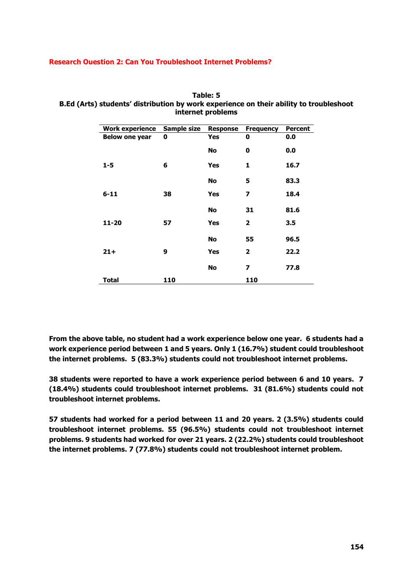## **Research Ouestion 2: Can You Troubleshoot Internet Problems?**

| Table: 5                                                                               |
|----------------------------------------------------------------------------------------|
| B.Ed (Arts) students' distribution by work experience on their ability to troubleshoot |
| internet problems                                                                      |

| <b>Work experience</b> | Sample size | <b>Response</b> | <b>Frequency</b>        | <b>Percent</b> |
|------------------------|-------------|-----------------|-------------------------|----------------|
| <b>Below one year</b>  | 0           | Yes             | 0                       | 0.0            |
|                        |             | No              | 0                       | 0.0            |
| $1 - 5$                | 6           | <b>Yes</b>      | 1                       | 16.7           |
|                        |             | <b>No</b>       | 5                       | 83.3           |
| $6 - 11$               | 38          | <b>Yes</b>      | $\overline{z}$          | 18.4           |
|                        |             | <b>No</b>       | 31                      | 81.6           |
| $11 - 20$              | 57          | <b>Yes</b>      | $\overline{\mathbf{2}}$ | 3.5            |
|                        |             | <b>No</b>       | 55                      | 96.5           |
| $21+$                  | 9           | <b>Yes</b>      | $\overline{2}$          | 22.2           |
|                        |             | <b>No</b>       | $\overline{z}$          | 77.8           |
| <b>Total</b>           | 110         |                 | 110                     |                |

**From the above table, no student had a work experience below one year. 6 students had a work experience period between 1 and 5 years. Only 1 (16.7%) student could troubleshoot the internet problems. 5 (83.3%) students could not troubleshoot internet problems.**

**38 students were reported to have a work experience period between 6 and 10 years. 7 (18.4%) students could troubleshoot internet problems. 31 (81.6%) students could not troubleshoot internet problems.** 

**57 students had worked for a period between 11 and 20 years. 2 (3.5%) students could troubleshoot internet problems. 55 (96.5%) students could not troubleshoot internet problems. 9 students had worked for over 21 years. 2 (22.2%) students could troubleshoot the internet problems. 7 (77.8%) students could not troubleshoot internet problem.**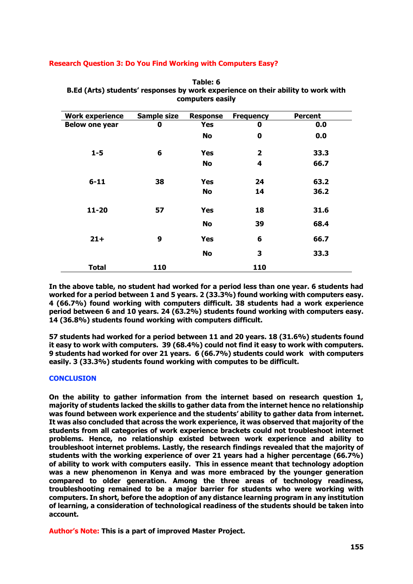## **Research Question 3: Do You Find Working with Computers Easy?**

| <b>Work experience</b> | <b>Sample size</b> | <b>Response</b> | <b>Frequency</b> | <b>Percent</b> |
|------------------------|--------------------|-----------------|------------------|----------------|
| <b>Below one year</b>  | 0                  | <b>Yes</b>      | $\bf{0}$         | 0.0            |
|                        |                    | <b>No</b>       | $\bf{0}$         | 0.0            |
| $1 - 5$                | 6                  | <b>Yes</b>      | $\overline{2}$   | 33.3           |
|                        |                    | <b>No</b>       | 4                | 66.7           |
| $6 - 11$               | 38                 | <b>Yes</b>      | 24               | 63.2           |
|                        |                    | No              | 14               | 36.2           |
| $11 - 20$              | 57                 | <b>Yes</b>      | 18               | 31.6           |
|                        |                    | <b>No</b>       | 39               | 68.4           |
| $21+$                  | 9                  | <b>Yes</b>      | 6                | 66.7           |
|                        |                    | <b>No</b>       | 3                | 33.3           |
| <b>Total</b>           | 110                |                 | 110              |                |

**Table: 6 B.Ed (Arts) students' responses by work experience on their ability to work with computers easily**

**In the above table, no student had worked for a period less than one year. 6 students had worked for a period between 1 and 5 years. 2 (33.3%) found working with computers easy. 4 (66.7%) found working with computers difficult. 38 students had a work experience period between 6 and 10 years. 24 (63.2%) students found working with computers easy. 14 (36.8%) students found working with computers difficult.** 

**57 students had worked for a period between 11 and 20 years. 18 (31.6%) students found it easy to work with computers. 39 (68.4%) could not find it easy to work with computers. 9 students had worked for over 21 years. 6 (66.7%) students could work with computers easily. 3 (33.3%) students found working with computes to be difficult.** 

# **CONCLUSION**

**On the ability to gather information from the internet based on research question 1, majority of students lacked the skills to gather data from the internet hence no relationship was found between work experience and the students' ability to gather data from internet. It was also concluded that across the work experience, it was observed that majority of the students from all categories of work experience brackets could not troubleshoot internet problems. Hence, no relationship existed between work experience and ability to troubleshoot internet problems. Lastly, the research findings revealed that the majority of students with the working experience of over 21 years had a higher percentage (66.7%) of ability to work with computers easily. This in essence meant that technology adoption was a new phenomenon in Kenya and was more embraced by the younger generation compared to older generation. Among the three areas of technology readiness, troubleshooting remained to be a major barrier for students who were working with computers. In short, before the adoption of any distance learning program in any institution of learning, a consideration of technological readiness of the students should be taken into account.**

**Author's Note: This is a part of improved Master Project.**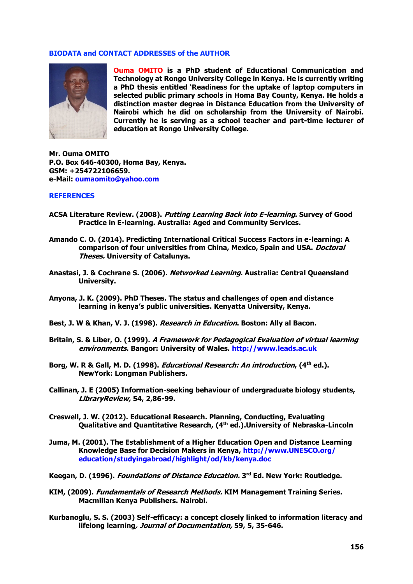## **BIODATA and CONTACT ADDRESSES of the AUTHOR**



**Ouma OMITO is a PhD student of Educational Communication and Technology at Rongo University College in Kenya. He is currently writing a PhD thesis entitled 'Readiness for the uptake of laptop computers in selected public primary schools in Homa Bay County, Kenya. He holds a distinction master degree in Distance Education from the University of Nairobi which he did on scholarship from the University of Nairobi. Currently he is serving as a school teacher and part-time lecturer of education at Rongo University College.**

**Mr. Ouma OMITO P.O. Box 646-40300, Homa Bay, Kenya. GSM: +254722106659. e-Mail: [oumaomito@yahoo.com](mailto:oumaomito@yahoo.com)**

# **REFERENCES**

- **ACSA Literature Review. (2008). Putting Learning Back into E-learning. Survey of Good Practice in E-learning. Australia: Aged and Community Services.**
- **Amando C. O. (2014). Predicting International Critical Success Factors in e-learning: A comparison of four universities from China, Mexico, Spain and USA. Doctoral Theses. University of Catalunya.**
- **Anastasi, J. & Cochrane S. (2006). Networked Learning. Australia: Central Queensland University.**
- **Anyona, J. K. (2009). PhD Theses. The status and challenges of open and distance learning in kenya's public universities. Kenyatta University, Kenya.**
- **Best, J. W & Khan, V. J. (1998). Research in Education. Boston: Ally al Bacon.**
- **Britain, S. & Liber, O. (1999). A Framework for Pedagogical Evaluation of virtual learning environments. Bangor: University of Wales. [http://www.leads.ac.uk](http://www.leads.ac.uk/)**
- **Borg, W. R & Gall, M. D. (1998). Educational Research: An introduction, (4th ed.). NewYork: Longman Publishers.**
- **Callinan, J. E (2005) Information-seeking behaviour of undergraduate biology students, LibraryReview, 54, 2,86-99.**
- **Creswell, J. W. (2012). Educational Research. Planning, Conducting, Evaluating Qualitative and Quantitative Research, (4th ed.).University of Nebraska-Lincoln**
- **Juma, M. (2001). The Establishment of a Higher Education Open and Distance Learning Knowledge Base for Decision Makers in Kenya, [http://www.UNESCO.org/](http://www.unesco.org/%20education/studyingabroad/highlight/od/kb/kenya.doc)  [education/studyingabroad/highlight/od/kb/kenya.doc](http://www.unesco.org/%20education/studyingabroad/highlight/od/kb/kenya.doc)**
- **Keegan, D. (1996). Foundations of Distance Education. 3 rd Ed. New York: Routledge.**
- **KIM, (2009). Fundamentals of Research Methods. KIM Management Training Series. Macmillan Kenya Publishers. Nairobi.**
- **Kurbanoglu, S. S. (2003) Self-efficacy: a concept closely linked to information literacy and lifelong learning, Journal of Documentation, 59, 5, 35-646.**